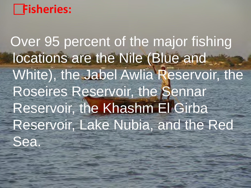#### **Fisheries:**

Over 95 percent of the major fishing locations are the Nile (Blue and White), the Jabel Awlia Reservoir, the Roseires Reservoir, the Sennar Reservoir, the Khashm El Girba Reservoir, Lake Nubia, and the Red Sea.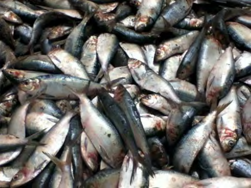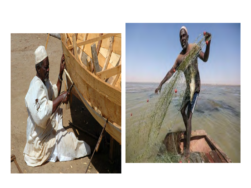

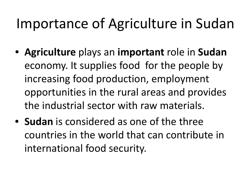# Importance of Agriculture in Sudan

- **Agriculture** plays an **important** role in **Sudan** economy. It supplies food for the people by increasing food production, employment opportunities in the rural areas and provides the industrial sector with raw materials.
- **Sudan** is considered as one of the three countries in the world that can contribute in international food security.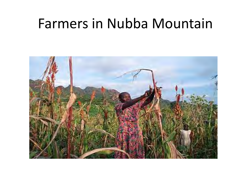### Farmers in Nubba Mountain

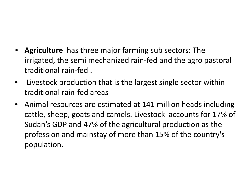- **Agriculture** has three major farming sub sectors: The irrigated, the semi mechanized rain-fed and the agro pastoral traditional rain-fed .
- Livestock production that is the largest single sector within traditional rain-fed areas
- Animal resources are estimated at 141 million heads including cattle, sheep, goats and camels. Livestock accounts for 17% of Sudan's GDP and 47% of the agricultural production as the profession and mainstay of more than 15% of the country's population.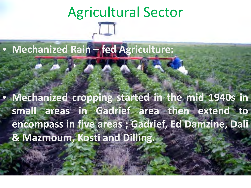# Agricultural Sector

• **Mechanized Rain – fed Agriculture:**

• **Mechanized cropping started in the mid 1940s in small areas in Gadrief area then extend to encompass in five areas ; Gadrief, Ed Damzine, Dali & Mazmoum, Kosti and Dilling.**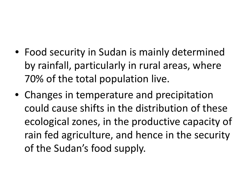- Food security in Sudan is mainly determined by rainfall, particularly in rural areas, where 70% of the total population live.
- Changes in temperature and precipitation could cause shifts in the distribution of these ecological zones, in the productive capacity of rain fed agriculture, and hence in the security of the Sudan's food supply.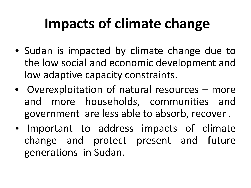# **Impacts of climate change**

- Sudan is impacted by climate change due to the low social and economic development and low adaptive capacity constraints.
- Overexploitation of natural resources more and more households, communities and government are less able to absorb, recover .
- Important to address impacts of climate change and protect present and future generations in Sudan.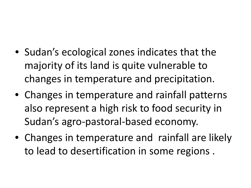- Sudan's ecological zones indicates that the majority of its land is quite vulnerable to changes in temperature and precipitation.
- Changes in temperature and rainfall patterns also represent a high risk to food security in Sudan's agro-pastoral-based economy.
- Changes in temperature and rainfall are likely to lead to desertification in some regions .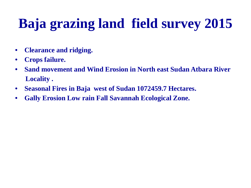## **Baja grazing land field survey 2015**

- **Clearance and ridging.**
- **Crops failure.**
- **Sand movement and Wind Erosion in North east Sudan Atbara River Locality .**
- **Seasonal Fires in Baja west of Sudan 1072459.7 Hectares.**
- **Gally Erosion Low rain Fall Savannah Ecological Zone.**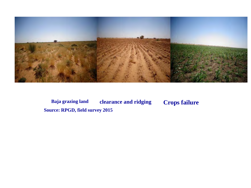

**Baja grazing land clearance and ridging Crops failure Source: RPGD, field survey 2015**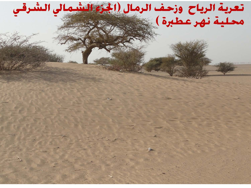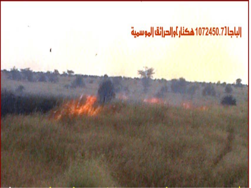# الباجا 1072450.71 هكنار أوالدراثق الموسمية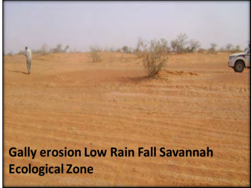## **Gally erosion Low Rain Fall Savannah Ecological Zone**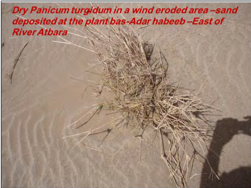Dry Panicum turgidum in a wind eroded area-sand deposited at the plant bas-Adar habeeb-East of **River Atbara**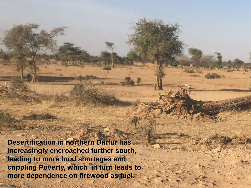**Desertification in northern Darfur has increasingly encroached further south, leading to more food shortages and crippling Poverty, which in turn leads to more dependence on firewood as fuel.**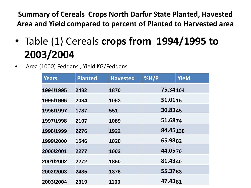**Summary of Cereals Crops North Darfur State Planted, Havested Area and Yield compared to percent of Planted to Harvested area**

- Table (1) Cereals **crops from 1994/1995 to 2003/2004**
- Area (1000) Feddans , Yield KG/Feddans

| <b>Years</b> | <b>Planted</b> | <b>Havested</b> | %H/P     | <b>Yield</b> |
|--------------|----------------|-----------------|----------|--------------|
| 1994/1995    | 2482           | 1870            | 75.34104 |              |
| 1995/1996    | 2084           | 1063            | 51.0115  |              |
| 1996/1997    | 1787           | 551             | 30.8345  |              |
| 1997/1998    | 2107           | 1089            | 51.6874  |              |
| 1998/1999    | 2276           | 1922            | 84.45138 |              |
| 1999/2000    | 1546           | 1020            | 65.9882  |              |
| 2000/2001    | 2277           | 1003            | 44.0570  |              |
| 2001/2002    | 2272           | 1850            | 81.4340  |              |
| 2002/2003    | 2485           | 1376            | 55.3763  |              |
| 2003/2004    | 2319           | 1100            | 47.4381  |              |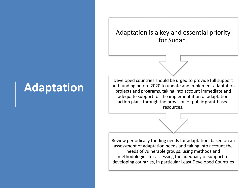#### **Adaptation**

Adaptation is a key and essential priority for Sudan.

Developed countries should be urged to provide full support and funding before 2020 to update and implement adaptation projects and programs, taking into account immediate and adequate support for the implementation of adaptation action plans through the provision of public grant-based resources.

Review periodically funding needs for adaptation, based on an assessment of adaptation needs and taking into account the needs of vulnerable groups, using methods and methodologies for assessing the adequacy of support to developing countries, in particular Least Developed Countries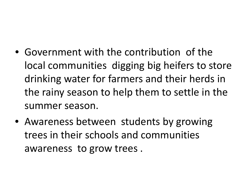- Government with the contribution of the local communities digging big heifers to store drinking water for farmers and their herds in the rainy season to help them to settle in the summer season.
- Awareness between students by growing trees in their schools and communities awareness to grow trees .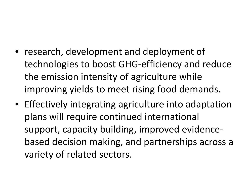- research, development and deployment of technologies to boost GHG-efficiency and reduce the emission intensity of agriculture while improving yields to meet rising food demands.
- Effectively integrating agriculture into adaptation plans will require continued international support, capacity building, improved evidencebased decision making, and partnerships across a variety of related sectors.